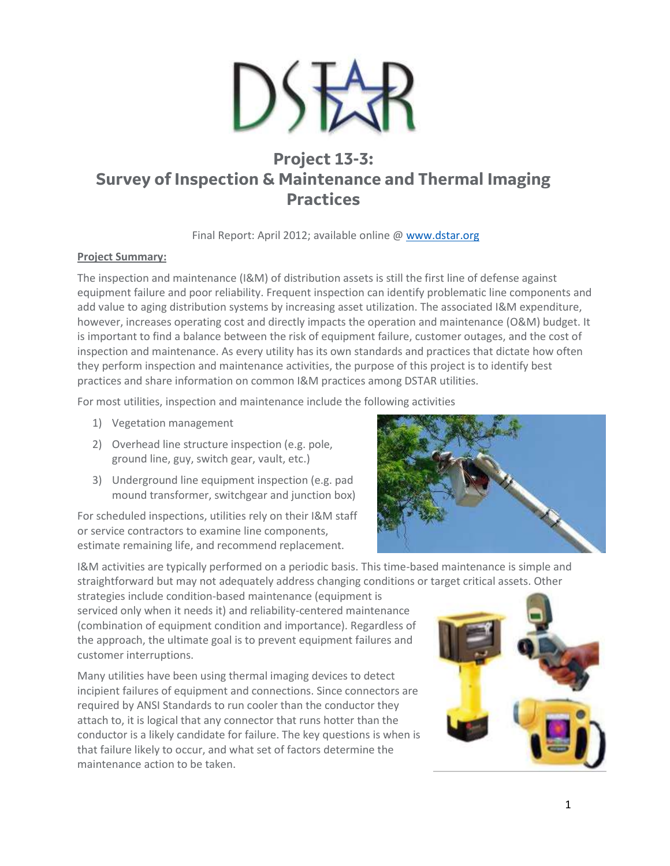

# **Project 13-3: Survey of Inspection & Maintenance and Thermal Imaging Practices**

Final Report: April 2012; available online @ [www.dstar.org](http://www.dstar.org/research/project/87/P13-3-survey-of-practices-for-equipment-inspection-maintenance-and-thermal-imaging)

## **Project Summary:**

The inspection and maintenance (I&M) of distribution assets is still the first line of defense against equipment failure and poor reliability. Frequent inspection can identify problematic line components and add value to aging distribution systems by increasing asset utilization. The associated I&M expenditure, however, increases operating cost and directly impacts the operation and maintenance (O&M) budget. It is important to find a balance between the risk of equipment failure, customer outages, and the cost of inspection and maintenance. As every utility has its own standards and practices that dictate how often they perform inspection and maintenance activities, the purpose of this project is to identify best practices and share information on common I&M practices among DSTAR utilities.

For most utilities, inspection and maintenance include the following activities

- 1) Vegetation management
- 2) Overhead line structure inspection (e.g. pole, ground line, guy, switch gear, vault, etc.)
- 3) Underground line equipment inspection (e.g. pad mound transformer, switchgear and junction box)

For scheduled inspections, utilities rely on their I&M staff or service contractors to examine line components, estimate remaining life, and recommend replacement.



I&M activities are typically performed on a periodic basis. This time-based maintenance is simple and straightforward but may not adequately address changing conditions or target critical assets. Other

strategies include condition-based maintenance (equipment is serviced only when it needs it) and reliability-centered maintenance (combination of equipment condition and importance). Regardless of the approach, the ultimate goal is to prevent equipment failures and customer interruptions.

Many utilities have been using thermal imaging devices to detect incipient failures of equipment and connections. Since connectors are required by ANSI Standards to run cooler than the conductor they attach to, it is logical that any connector that runs hotter than the conductor is a likely candidate for failure. The key questions is when is that failure likely to occur, and what set of factors determine the maintenance action to be taken.